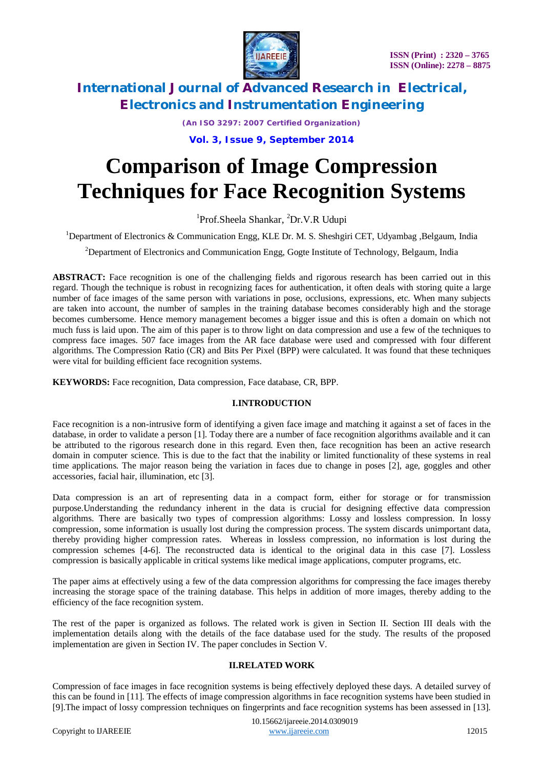

*(An ISO 3297: 2007 Certified Organization)*

### **Vol. 3, Issue 9, September 2014**

# **Comparison of Image Compression Techniques for Face Recognition Systems**

### <sup>1</sup>Prof.Sheela Shankar, <sup>2</sup>Dr.V.R Udupi

<sup>1</sup>Department of Electronics & Communication Engg, KLE Dr. M. S. Sheshgiri CET, Udyambag ,Belgaum, India

<sup>2</sup>Department of Electronics and Communication Engg, Gogte Institute of Technology, Belgaum, India

**ABSTRACT:** Face recognition is one of the challenging fields and rigorous research has been carried out in this regard. Though the technique is robust in recognizing faces for authentication, it often deals with storing quite a large number of face images of the same person with variations in pose, occlusions, expressions, etc. When many subjects are taken into account, the number of samples in the training database becomes considerably high and the storage becomes cumbersome. Hence memory management becomes a bigger issue and this is often a domain on which not much fuss is laid upon. The aim of this paper is to throw light on data compression and use a few of the techniques to compress face images. 507 face images from the AR face database were used and compressed with four different algorithms. The Compression Ratio (CR) and Bits Per Pixel (BPP) were calculated. It was found that these techniques were vital for building efficient face recognition systems.

**KEYWORDS:** Face recognition, Data compression, Face database, CR, BPP.

### **I.INTRODUCTION**

Face recognition is a non-intrusive form of identifying a given face image and matching it against a set of faces in the database, in order to validate a person [1]. Today there are a number of face recognition algorithms available and it can be attributed to the rigorous research done in this regard. Even then, face recognition has been an active research domain in computer science. This is due to the fact that the inability or limited functionality of these systems in real time applications. The major reason being the variation in faces due to change in poses [2], age, goggles and other accessories, facial hair, illumination, etc [3].

Data compression is an art of representing data in a compact form, either for storage or for transmission purpose.Understanding the redundancy inherent in the data is crucial for designing effective data compression algorithms. There are basically two types of compression algorithms: Lossy and lossless compression. In lossy compression, some information is usually lost during the compression process. The system discards unimportant data, thereby providing higher compression rates. Whereas in lossless compression, no information is lost during the compression schemes [4-6]. The reconstructed data is identical to the original data in this case [7]. Lossless compression is basically applicable in critical systems like medical image applications, computer programs, etc.

The paper aims at effectively using a few of the data compression algorithms for compressing the face images thereby increasing the storage space of the training database. This helps in addition of more images, thereby adding to the efficiency of the face recognition system.

The rest of the paper is organized as follows. The related work is given in Section II. Section III deals with the implementation details along with the details of the face database used for the study. The results of the proposed implementation are given in Section IV. The paper concludes in Section V.

### **II.RELATED WORK**

Compression of face images in face recognition systems is being effectively deployed these days. A detailed survey of this can be found in [11]. The effects of image compression algorithms in face recognition systems have been studied in [9].The impact of lossy compression techniques on fingerprints and face recognition systems has been assessed in [13].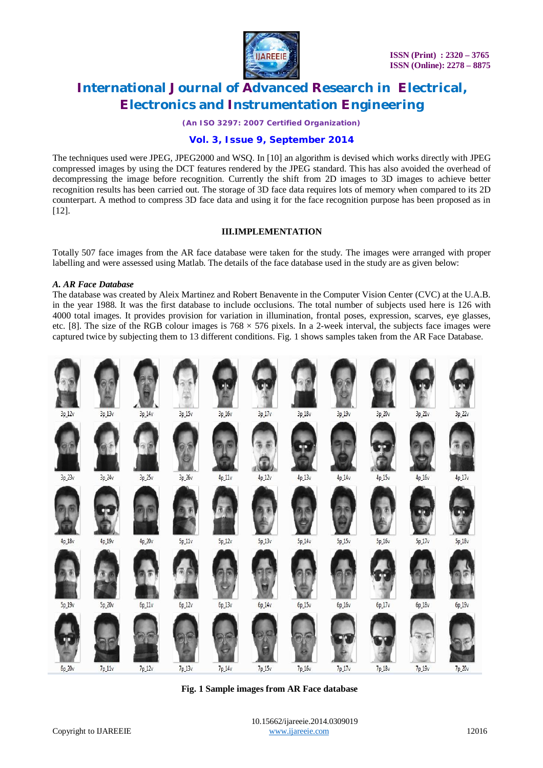

*(An ISO 3297: 2007 Certified Organization)*

### **Vol. 3, Issue 9, September 2014**

The techniques used were JPEG, JPEG2000 and WSQ. In [10] an algorithm is devised which works directly with JPEG compressed images by using the DCT features rendered by the JPEG standard. This has also avoided the overhead of decompressing the image before recognition. Currently the shift from 2D images to 3D images to achieve better recognition results has been carried out. The storage of 3D face data requires lots of memory when compared to its 2D counterpart. A method to compress 3D face data and using it for the face recognition purpose has been proposed as in [12].

### **III.IMPLEMENTATION**

Totally 507 face images from the AR face database were taken for the study. The images were arranged with proper labelling and were assessed using Matlab. The details of the face database used in the study are as given below:

#### *A. AR Face Database*

The database was created by Aleix Martinez and Robert Benavente in the Computer Vision Center (CVC) at the U.A.B. in the year 1988. It was the first database to include occlusions. The total number of subjects used here is 126 with 4000 total images. It provides provision for variation in illumination, frontal poses, expression, scarves, eye glasses, etc. [8]. The size of the RGB colour images is  $768 \times 576$  pixels. In a 2-week interval, the subjects face images were captured twice by subjecting them to 13 different conditions. Fig. 1 shows samples taken from the AR Face Database.



**Fig. 1 Sample images from AR Face database**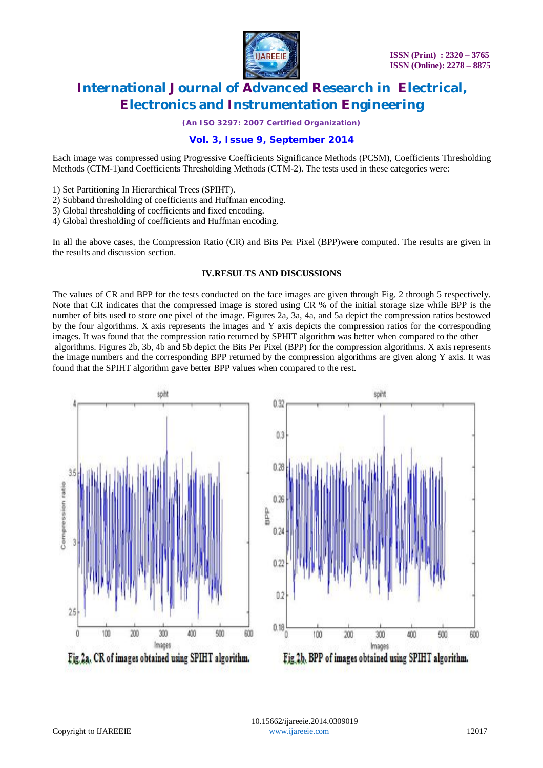

*(An ISO 3297: 2007 Certified Organization)*

### **Vol. 3, Issue 9, September 2014**

Each image was compressed using Progressive Coefficients Significance Methods (PCSM), Coefficients Thresholding Methods (CTM-1)and Coefficients Thresholding Methods (CTM-2). The tests used in these categories were:

1) Set Partitioning In Hierarchical Trees (SPIHT).

- 2) Subband thresholding of coefficients and Huffman encoding.
- 3) Global thresholding of coefficients and fixed encoding.
- 4) Global thresholding of coefficients and Huffman encoding.

In all the above cases, the Compression Ratio (CR) and Bits Per Pixel (BPP)were computed. The results are given in the results and discussion section.

### **IV.RESULTS AND DISCUSSIONS**

The values of CR and BPP for the tests conducted on the face images are given through Fig. 2 through 5 respectively. Note that CR indicates that the compressed image is stored using CR % of the initial storage size while BPP is the number of bits used to store one pixel of the image. Figures 2a, 3a, 4a, and 5a depict the compression ratios bestowed by the four algorithms. X axis represents the images and Y axis depicts the compression ratios for the corresponding images. It was found that the compression ratio returned by SPHIT algorithm was better when compared to the other algorithms. Figures 2b, 3b, 4b and 5b depict the Bits Per Pixel (BPP) for the compression algorithms. X axis represents the image numbers and the corresponding BPP returned by the compression algorithms are given along Y axis. It was found that the SPIHT algorithm gave better BPP values when compared to the rest.

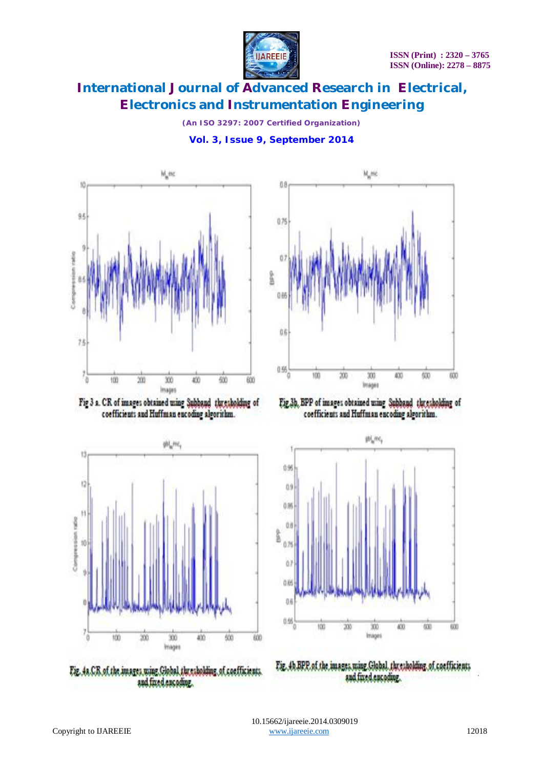

*(An ISO 3297: 2007 Certified Organization)*













Fig 3 a. CR of images obtained using Subband thresholding of Fig.3b, BPP of images obtained using Subband thresholding of coefficients and Huffman encoding algorithm.



Fig. 4b BPP of the images ming Global thresholding of coefficients. and fixed encoding.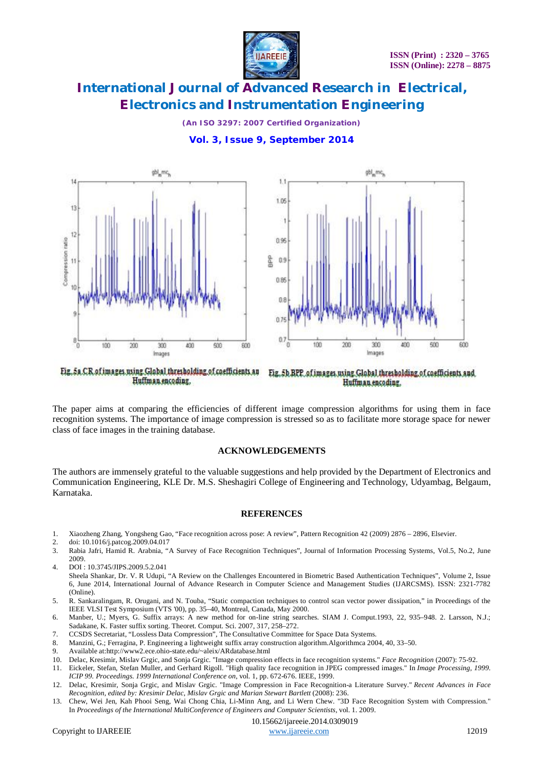

*(An ISO 3297: 2007 Certified Organization)*

**Vol. 3, Issue 9, September 2014**





Huffman encoding.

Fig.5b, BPP, of images, using, Global thresholding, of coefficients, and, Huffman encoding.

The paper aims at comparing the efficiencies of different image compression algorithms for using them in face recognition systems. The importance of image compression is stressed so as to facilitate more storage space for newer class of face images in the training database.

### **ACKNOWLEDGEMENTS**

The authors are immensely grateful to the valuable suggestions and help provided by the Department of Electronics and Communication Engineering, KLE Dr. M.S. Sheshagiri College of Engineering and Technology, Udyambag, Belgaum, Karnataka.

#### **REFERENCES**

- 1. Xiaozheng Zhang, Yongsheng Gao, "Face recognition across pose: A review", Pattern Recognition 42 (2009) 2876 2896, Elsevier.
- 2. doi: 10.1016/j.patcog.2009.04.017
- 3. Rabia Jafri, Hamid R. Arabnia, "A Survey of Face Recognition Techniques", Journal of Information Processing Systems, Vol.5, No.2, June 2009.
- 4. DOI : 10.3745/JIPS.2009.5.2.041 Sheela Shankar, Dr. V. R Udupi, "A Review on the Challenges Encountered in Biometric Based Authentication Techniques", Volume 2, Issue 6, June 2014, International Journal of Advance Research in Computer Science and Management Studies (IJARCSMS). ISSN: 2321-7782 (Online).
- 5. R. Sankaralingam, R. Orugani, and N. Touba, "Static compaction techniques to control scan vector power dissipation," in Proceedings of the IEEE VLSI Test Symposium (VTS '00), pp. 35–40, Montreal, Canada, May 2000.
- 6. Manber, U.; Myers, G. Suffix arrays: A new method for on-line string searches. SIAM J. Comput.1993, 22, 935–948. 2. Larsson, N.J.; Sadakane, K. Faster suffix sorting. Theoret. Comput. Sci. 2007, 317, 258–272.
- 7. CCSDS Secretariat, "Lossless Data Compression", The Consultative Committee for Space Data Systems.<br>8. Manzini G: Ferragina P. Engineering a lightweight suffix array construction algorithm Algorithmea 200
- 8. Manzini, G.; Ferragina, P. Engineering a lightweight suffix array construction algorithm.Algorithmca 2004, 40, 33–50.
- 9. Available at:http://www2.ece.ohio-state.edu/~aleix/ARdatabase.html
- 10. Delac, Kresimir, Mislav Grgic, and Sonja Grgic. "Image compression effects in face recognition systems." *Face Recognition* (2007): 75-92.
- 11. Eickeler, Stefan, Stefan Muller, and Gerhard Rigoll. "High quality face recognition in JPEG compressed images." In *Image Processing, 1999. ICIP 99. Proceedings. 1999 International Conference on*, vol. 1, pp. 672-676. IEEE, 1999.
- 12. Delac, Kresimir, Sonja Grgic, and Mislav Grgic. "Image Compression in Face Recognition-a Literature Survey." *Recent Advances in Face Recognition, edited by: Kresimir Delac, Mislav Grgic and Marian Stewart Bartlett* (2008): 236.
- 13. Chew, Wei Jen, Kah Phooi Seng, Wai Chong Chia, Li-Minn Ang, and Li Wern Chew. "3D Face Recognition System with Compression." In *Proceedings of the International MultiConference of Engineers and Computer Scientists*, vol. 1. 2009.